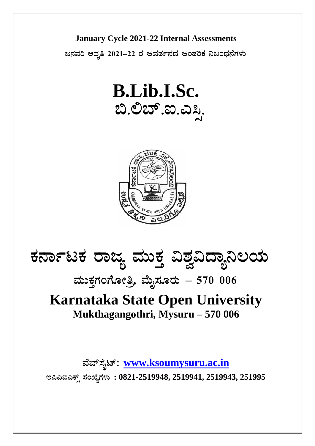

ಜನವರಿ ಆವೃತಿ 2021–22 ರ ಆವರ್ತನದ ಆಂತರಿಕ ನಿಬಂಧನೆಗಳು







## ಮುಕ್ತಗಂಗೋತ್ರಿ, ಮೈಸೂರು  $-5700006$

## **Karnataka State Open University** Mukthagangothri, Mysuru - 570 006

ವೆಬ್ಸೈಟ್: www.ksoumysuru.ac.in

ಇಪಿಎಬಿಎಕ್ಸ್ ಸಂಖ್ಯೆಗಳು: 0821-2519948, 2519941, 2519943, 251995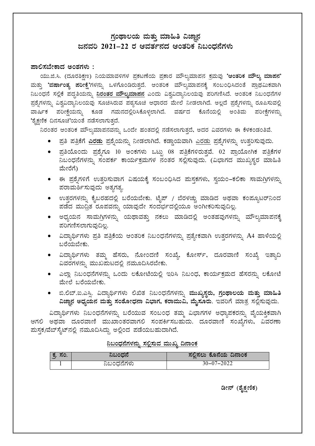## ಗ್ರಂಥಾಲಯ ಮತ್ತು ಮಾಹಿತಿ ವಿಜ್ಞಾನ ಜನವರಿ 2021–22 ರ ಆವರ್ತನದ ಆಂತರಿಕ ನಿಬಂದನೆಗಳು

#### ಪಾಲಿಸಬೇಕಾದ ಅಂಶಗಳು :

ಯು.ಜಿ.ಸಿ. (ದೂರಶಿಕ್ಷಣ) ನಿಯಮಾವಳಿಗಳ ಪ್ರಕಟಣೆಯ ಪ್ರಕಾರ ಮೌಲ್ಯಮಾಪನ ಕ್ರಮವು 'ಆಂತರಿಕ ಮೌಲ್ಯ ಮಾಪನ' ಮತ್ತು 'ವರ್ಷಾಂತ್ಯ ಪರೀಕ್ಷೆ'ಗಳನ್ನು ಒಳಗೊಂಡಿರುತ್ತದೆ. ಆಂತರಿಕ ಮೌಲ್ಯಮಾಪನಕ್ಕೆ ಸಂಬಂಧಿಸಿದಂತೆ ಪ್ರಾಥಮಿಕವಾಗಿ ನಿಬಂಧನೆ ಸಲ್ಲಿಕೆ ಪದ್ಧತಿಯನ್ನು <mark>ನಿರಂತರ ಮೌಲ್ಯಮಾಪನ</mark> ಎಂದು ವಿಶ್ವವಿದ್ಯಾನಿಲಯವು ಪರಿಗಣಿಸಿದೆ. ಆಂತರಿಕ ನಿಬಂಧನೆಗಳ ಪ್ರಶ್ನೆಗಳನ್ನು ವಿಶ್ವವಿದ್ಯಾನಿಲಯವು ಸೂಚಿಸಿರುವ ಪಠ್ಯಸೂಚಿ ಆಧಾರದ ಮೇಲೆ ನೀಡಲಾಗಿದೆ. ಅಲ್ಲದೆ ಪ್ರಶ್ನೆಗಳನ್ನು ರೂಪಿಸುವಲ್ಲಿ ವಾರ್ಷಿಕ ಪರೀಕ್ಷೆಯನ್ನು ಕೂಡ ಗಮನದಲ್ಲಿರಿಸಿಕೊಳ್ಳಲಾಗಿದೆ. ವರ್ಷದ ಕೊನೆಯಲ್ಲಿ ಅಂತಿಮ ಪರೀಕ್ಷೆಗಳನ್ನು 'ಶೈಕ್ಷಣಿಕ ದಿನಸೂಚಿ'ಯಂತೆ ನಡೆಸಲಾಗುತ್ತದೆ.

ನಿರಂತರ ಆಂತರಿಕ ಮೌಲ್ಯಮಾಪನವನ್ನು ಒಂದೇ ಹಂತದಲ್ಲಿ ನಡೆಸಲಾಗುತ್ತದೆ, ಅದರ ವಿವರಗಳು ಈ ಕೆಳಕಂಡಂತಿವೆ.

- ಪ್ರತಿ ಪತ್ರಿಕೆಗೆ <u>ಎರಡು</u> ಪ್ರಶ್ನೆಯನ್ನು ನೀಡಲಾಗಿದೆ. ಕಡ್ಡಾಯವಾಗಿ <u>ಎರಡು</u> ಪ್ರಶೈಗಳನ್ನು ಉತ್ತರಿಸುವುದು.
- ಪ್ರತಿಯೊಂದು ಪ್ರಶ್ನೆಗೂ 10 ಅಂಕಗಳು ಒಟ್ಟು 08 ಪತ್ರಿಕೆಗಳಿರುತ್ತವೆ. 02 ಪ್ರಾಯೋಗಿಕ ಪತ್ರಿಕೆಗಳ ನಿಬಂಧನೆಗಳನ್ನು ಸಂಪರ್ಕ ಕಾರ್ಯಕ್ರಮಗಳ ನಂತರ ಸಲ್ಲಿಸುವುದು. (ವಿಭಾಗದ ಮುಖ್ಯಸ್ಥರ ಮಾಹಿತಿ ಮೇರೆಗೆ)
- ಈ ಪ್ರಶೈಗಳಿಗೆ ಉತ್ತರಿಸುವಾಗ ವಿಷಯಕ್ಕೆ ಸಂಬಂಧಿಸಿದ ಮಸ್ತಕಗಳು, ಸ್ವಯಂ–ಕಲಿಕಾ ಸಾಮಗ್ರಿಗಳನ್ನು ಪರಾಮರ್ಶಿಸುವುದು ಅತ್ಯಗತ್ಯ.
- ಉತ್ತರಗಳನ್ನು ಕೈಬರಹದಲ್ಲಿ ಬರೆಯಬೇಕು. ಟೈಪ್ / ಬೆರಳಚ್ಚು ಮಾಡಿದ ಅಥವಾ ಕಂಪ್ಯೂಟರ್ನಿಂದ ಪಡೆದ ಮುದ್ರಿತ ರೂಪವನ್ನು ಯಾವುದೇ ಸಂದರ್ಭದಲ್ಲಿಯೂ ಅಂಗೀಕರಿಸುವುದಿಲ್ಲ.
- ಅಧ್ಯಯನ ಸಾಮಗ್ರಿಗಳನ್ನು ಯಥಾವತ್ತು ನಕಲು ಮಾಡಿದಲ್ಲಿ ಅಂತಹವುಗಳನ್ನು ಮೌಲ್ಯಮಾಪನಕ್ಕೆ ಪರಿಗಣಿಸಲಾಗುವುದಿಲ್ಲ.
- ವಿದ್ಯಾರ್ಥಿಗಳು ಪ್ರತಿ ಪತ್ರಿಕೆಯ ಆಂತರಿಕ ನಿಬಂಧನೆಗಳನ್ನು ಪ್ರತ್ಯೇಕವಾಗಿ ಉತ್ತರಗಳನ್ನು A4 ಹಾಳೆಯಲ್ಲಿ ಬರೆಯಬೇಕು.
- ವಿದ್ಯಾರ್ಥಿಗಳು ತಮ್ಮ ಹೆಸರು, ನೋಂದಣಿ ಸಂಖ್ಯೆ, ಕೋರ್ಸ್, ದೂರವಾಣಿ ಸಂಖ್ಯೆ ಇತ್ಯಾದಿ ವಿವರಗಳನ್ನು ಮುಖಮಟದಲ್ಲಿ ನಮೂದಿಸಿರಬೇಕು.
- ಎಲ್ಲಾ ನಿಬಂಧನೆಗಳನ್ನು ಒಂದು ಲಕೋಟೆಯಲ್ಲಿ ಇರಿಸಿ ನಿಬಂಧ, ಕಾರ್ಯಕ್ರಮದ ಹೆಸರನ್ನು ಲಕೋಟೆ ಮೇಲೆ ಬರೆಯಬೇಕು.
- ಬಿ.ಲಿಬ್.ಐ.ಎಸ್ಸಿ. ವಿದ್ಯಾರ್ಥಿಗಳು ಲಿಖಿತ ನಿಬಂಧನೆಗಳನ್ನು ಮುಖ್ಯಸ್ಥರು, ಗ್ರಂಥಾಲಯ ಮತ್ತು ಮಾಹಿತಿ ವಿಜ್ಞಾನ ಅಧ್ಯಯನ ಮತ್ತು ಸಂಶೋಧನಾ ವಿಭಾಗ, ಕರಾಮುವಿ, ಮೈಸೂರು. ಇವರಿಗೆ ಮಾತ್ರ ಸಲ್ಲಿಸುವುದು.

ವಿದ್ಯಾರ್ಥಿಗಳು ನಿಬಂಧನೆಗಳನ್ನು ಬರೆಯುವ ಸಂಬಂಧ ತಮ್ಮ ವಿಭಾಗಗಳ ಅಧ್ಯಾಪಕರನ್ನು ವೈಯಕ್ತಿಕವಾಗಿ ಆಗಲಿ ಅಥವಾ ದೂರವಾಣಿ ಮುಖಾಂತರವಾಗಲಿ ಸಂಪರ್ಕಿಸಬಹುದು. ದೂರವಾಣಿ ಸಂಖ್ಯೆಗಳು, ವಿವರಣಾ ಮಸ್ಥಕ/ವೆಬ್ ಸೈಟ್ ನಲ್ಲಿ ನಮೂದಿಸಿದ್ದು ಅಲ್ಲಿಂದ ಪಡೆಯಬಹುದಾಗಿದೆ.

#### <u>ನಿಬಂಧನೆಗಳನ್ನು ಸಲ್ಲಿಸುವ ಮುಖ್ಯ ದಿನಾಂಕ</u>

| ಕ್ರ. ಸಂ. | ನಿಬಂಧನೆ    | ಸಲಿಸಲು ಕೊನೆಯ ದಿನಾಂಕ |
|----------|------------|---------------------|
|          | ನಿಬಂಧನೆಗಳು | $30 - 07 - 2022$    |

ಡೀನ್ (ಶೈಕ್ಷಣಿಕ)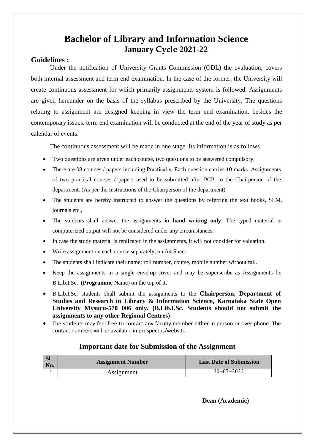## **Bachelor of Library and Information Science January Cycle 2021-22**

#### **Guidelines :**

Under the notification of University Grants Commission (ODL) the evaluation, covers both internal assessment and term end examination. In the case of the former, the University will create continuous assessment for which primarily assignments system is followed. Assignments are given hereunder on the basis of the syllabus prescribed by the University. The questions relating to assignment are designed keeping in view the term end examination, besides the contemporary issues. term end examination will be conducted at the end of the year of study as per calendar of events.

The continuous assessment will be made in one stage. Its information is as follows.

- Two questions are given under each course, two questions to be answered compulsory.
- There are 08 courses / papers including Practical's. Each question carries **10** marks. Assignments of two practical courses / papers used to be submitted after PCP, to the Chairperson of the department. (As per the Instructions of the Chairperson of the department)
- The students are hereby instructed to answer the questions by referring the text books, SLM, journals etc.,
- The students shall answer the assignments **in hand writing only**. The typed material or computerized output will not be considered under any circumstances.
- In case the study material is replicated in the assignments, it will not consider for valuation.
- Write assignment on each course separately, on A4 Sheet.
- The students shall indicate their name; roll number, course, mobile number without fail.
- Keep the assignments in a single envelop cover and may be superscribe as Assignments for B.Lib.I.Sc. (**Programme** Name) on the top of it.
- B.Lib.I.Sc. students shall submit the assignments to the **Chairperson, Department of Studies and Research in Library & Information Science, Karnataka State Open University Mysuru-570 006 only. (B.Lib.I.Sc. Students should not submit the assignments to any other Regional Centres)**
- The students may feel free to contact any faculty member either in person or over phone. The contact numbers will be available in prospectus/website.

#### **Important date for Submission of the Assignment**

| SI<br>  No. | <b>Assignment Number</b> | <b>Last Date of Submission</b> |
|-------------|--------------------------|--------------------------------|
|             | Assignment               | $30 - 07 - 2022$               |

**Dean (Academic)**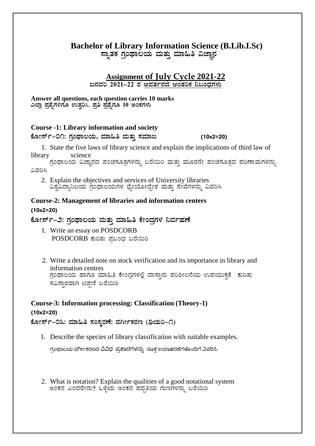### **Bachelor of Library Information Science (B.Lib.I.Sc)**

ಸ್ಸಾತಕ ಗ್ರಂಥಾಲಯ ಮತ್ತು ಮಾಹಿತಿ ವಿಜ್ಞಾನ

## **Assignment of July Cycle 2021-22**

<u>ಜನವರಿ 2021–22 ರ ಆವರ್ತನದ ಆಂತರಿಕ ನಿಬಂಧಗಳು</u>

**Answer all questions, each question carries 10 marks** ಎಲ್ಲಾ ಪ್ರಶೈಗಳಿಗೂ ಉತ್ತರಿಸಿ. ಪ್ರತಿ ಪ್ರಶೈಗೂ 10 ಅಂಕಗಳು

#### **Course -1: Library information and society**

#### **PÉÆÃ¸ïð-01: UÀæAxÁ®AiÀÄ, ªÀiÁ»w ªÀÄvÀÄÛ ¸ÀªÀiÁd (10x2=20)**

 1. State the five laws of library science and explain the implications of third law of library science

ಗ್ರಂಥಾಲಯ ವಿಜ್ಞಾನದ ಪಂಚಸೂತ್ರಗಳನ್ನು ಬರೆಯಿರಿ ಮತ್ತು ಮೂರನೇ ಪಂಚಸೂತ್ರದ ಪರಿಣಾಮಗಳನ್ನು ವಿವರಿಸಿ

 2. Explain the objectives and services of University libraries ವಿಶ್ರವಿದ್ಯಾನಿಲಯ ಗ್ರಂಥಾಲಯಗಳ ಧ್ಯೇಯೋದ್ದೇಶ ಮತ್ತು ಸೇವೆಗಳನ್ನು ವಿವರಿಸಿ

### **Course-2: Management of libraries and information centers (10x2=20)**

ಕೋರ್ಸ್**-೨: ಗಂಥಾಲಯ ಮತ್ತು ಮಾಹಿತಿ ಕೇಂದ್ರಗಳ ನಿರ್ವ**ಹಣೆ

- 1. Write an essay on POSDCORB POSDCORB ಕುರಿತು ಪ್ರಬಂಧ ಬರೆಯಿರಿ
- 2. Write a detailed note on stock verification and its importance in library and information centres ಗ್ರಂಥಾಲಯ ಹಾಗೂ ಮಾಹಿತಿ ಕೇಂದ್ರಗಳಲ್ಲಿ ದಾಸ್ತಾನು ಪರಿಶೀಲನೆಯ ಉಪಯುಕ್ತತೆ ಕುರಿತು ಸವಿಸ್ತಾರವಾಗಿ ಟಿಪ್ಪಣಿ ಬರೆಯಿರಿ

## **Course-3: Information processing: Classification (Theory-1) (10x2=20)**

ಕೋರ್ಸ್–೦೩: ಮಾಹಿತಿ ಸಂಸ್<del>ಕ</del>ರಣೆ: ವರ್ಗೀಕರಣ (ಥಿಯರಿ–೧)

1. Describe the species of library classification with suitable examples.

ಗ್ರಂಥಾಲಯ ವರ್ಗೀಕರಣದ ವಿವಿಧ ಪ್ರಕಾರಗಳನ್ನು ಸೂಕ್ತ ಉದಾಹರಣೆಗಳೊಂದಿಗೆ ವಿವರಿಸಿ.

 2. What is notation? Explain the qualities of a good notational system ಅಂಕನ ಎಂದರೇನು? ಒಳ್ಳೆಯ ಅಂಕನ ಪದ್ಧತಿಯ ಗುಣಗಳನ್ನು ಬರೆಯಿರಿ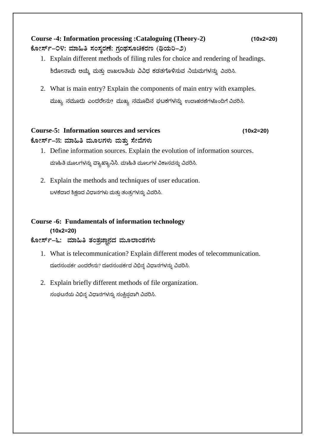## **Course -4: Information processing :Cataloguing (Theory-2) (10x2=20)** ಕೋರ್ಸ್-೦೪: ಮಾಹಿತಿ ಸಂಸ್ಕರಣೆ: ಗ್ರಂಥಸೂಚಿಕರಣ (ಥಿಯರಿ-೨)

- 1. Explain different methods of filing rules for choice and rendering of headings. ಶಿರೋನಾಮೆ ಆಯ್ಕೆ ಮತ್ತು ದಾಖಲಾತಿಯ ವಿವಿಧ ಕಡತಗೊಳಿಸುವ ನಿಯಮಗಳನ್ನು ವಿವರಿಸಿ.
- 2. What is main entry? Explain the components of main entry with examples. ಮುಖ್ಯ ನಮೂದು ಎಂದರೇನು? ಮುಖ್ಯ ನಮೂದಿನ ಘಟಕಗಳನ್ನು ಉದಾಹರಣೆಗಳೊಂದಿಗೆ ವಿವರಿಸಿ.

### **Course-5: Information sources and services (10x2=20)** ಕೋರ್ಸ್–೫: ಮಾಹಿತಿ ಮೂಲಗಳು ಮತ್ತು ಸೇವೆಗಳು

- 1. Define information sources. Explain the evolution of information sources. ಮಾಹಿತಿ ಮೂಲಗ್ಳನ್ನು ವ್ಾಯಖ್ಾಯನಿಸಿ. ಮಾಹಿತಿ ಮೂಲಗ್ಳ ವಿಕಾಸವನ್ನು ವಿವರಿಸಿ.
- 2. Explain the methods and techniques of user education. ಬಳಕೆದಾರ ಶಿಕ್ಷಣದ ವಿಧಾನಗಳು ಮತ್ತು ತಂತ್ರಗಳನ್ನು ವಿವರಿಸಿ.

## **Course -6: Fundamentals of information technology**

#### **(10x2=20)**

## ಕೋರ್ಸ್**–೬: ಮಾಹಿತಿ ತಂತ್ರಜ್ಞಾನದ ಮೂಲಾಂಶಗಳು**

- 1. What is telecommunication? Explain different modes of telecommunication. ದೂರಸಂಪರ್ಕ ಎಂದರೇನು? ದೂರಸಂಪರ್ಕದ ವಿಭಿನ್ನ ವಿಧಾನಗಳನ್ನು ವಿವರಿಸಿ.
- 2. Explain briefly different methods of file organization.

ಸಂಘಟನೆಯ ವಿಭಿನ್ನ ವಿಧಾನಗಳನ್ನು ಸಂಕ್ಷಿಪವಾಗಿ ವಿವರಿಸಿ.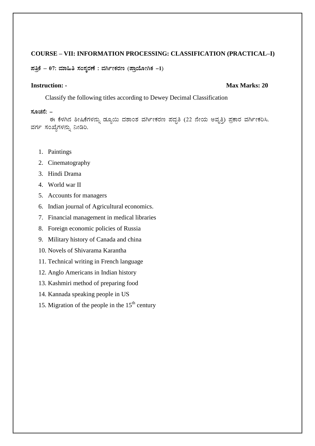#### COURSE - VII: INFORMATION PROCESSING: CLASSIFICATION (PRACTICAL-I)

ಪತ್ರಿಕೆ - 07: ಮಾಹಿತಿ ಸಂಸ್ಕರಣೆ : ವರ್ಗೀಕರಣ (ಪ್ರಾಯೋಗಿಕ -1)

#### **Instruction: -**

#### Max Marks: 20

Classify the following titles according to Dewey Decimal Classification

#### ಸೂಚನೆ: –

ಈ ಕೆಳಗಿನ ಶೀಷಿಕೆಗಳನ್ನು ಡ್ಯೂಯಿ ದಶಾಂಶ ವರ್ಗೀಕರಣ ಪದ್ಧತಿ (22 ನೇಯ ಅವೃತ್ತಿ) ಪ್ರಕಾರ ವರ್ಗೀಕರಿಸಿ. ವರ್ಗ ಸಂಖ್ಯೆಗಳನ್ನು ನೀಡಿರಿ.

- 1. Paintings
- 2. Cinematography
- 3. Hindi Drama
- 4. World war II
- 5. Accounts for managers
- 6. Indian journal of Agricultural economics.
- 7. Financial management in medical libraries
- 8. Foreign economic policies of Russia
- 9. Military history of Canada and china
- 10. Novels of Shivarama Karantha
- 11. Technical writing in French language
- 12. Anglo Americans in Indian history
- 13. Kashmiri method of preparing food
- 14. Kannada speaking people in US
- 15. Migration of the people in the  $15<sup>th</sup>$  century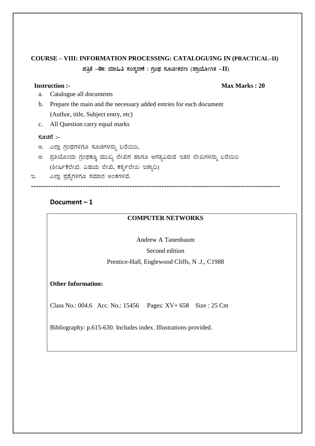## **COURSE - VIII: INFORMATION PROCESSING: CATALOGUING IN (PRACTICAL-II)** ಪತ್ರಿಕೆ  $-08$ : ಮಾಹಿತಿ ಸಂಸ್ಕರಣೆ : ಗ್ರಂಥ ಸೂಚೀಕರಣ (ಪ್ರಾಯೋಗಿಕ $-I$ I)

#### **Instruction:-**

#### Max Marks: 20

- Catalogue all documents a.
- Prepare the main and the necessary added entries for each document  $\mathbf{b}$ . (Author, title, Subject entry, etc)
- All Question carry equal marks  $c.$

#### ಸೂಚನೆ :–

- ಅ. ಎಲ್ಲಾ ಗ್ರಂಥಗಳಿಗೂ ಸೂಚಿಗಳನ್ನು ಬರೆಯಿರಿ,
- ಆ. ಪ್ರತಿಯೊಂದು ಗ್ರಂಥಕ್ಕೂ ಮುಖ್ಯ ಲೇಖಿಗ ಹಾಗೂ ಅಗತ್ಯವಿರುವ ಇತರ ಲೇಖಗಳನ್ನು ಬರೆಯಿರಿ (ಶೀರ್ಷಿಕೆಲೇಖಿ. ವಿಷಯ ಲೇಖಿ, ಕರ್ತೃಲೇಖ ಇತ್ಯಾದಿ)
- ಎಲ್ಲಾ ಪ್ರಶೈಗಳಿಗೂ ಸಮಾನ ಅಂಕಗಳಿವೆ. ಇ.

#### Document $-1$

#### **COMPUTER NETWORKS**

Andrew A Tanenbaum Second edition Prentice-Hall, Englewood Cliffs, N .J., C1988

#### **Other Information:**

Class No.: 004.6 Acc. No.: 15456 Pages: XV+ 658 Size : 25 Cm

Bibliography: p.615-630. Includes index. Illustrations provided.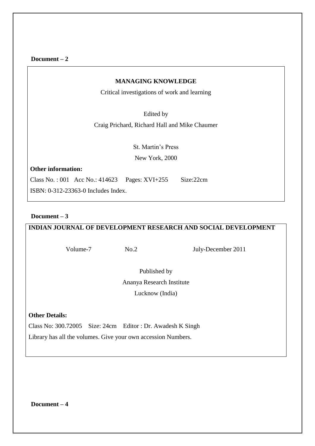**Document – 2**

#### **MANAGING KNOWLEDGE**

Critical investigations of work and learning

Edited by

Craig Prichard, Richard Hall and Mike Chaumer

St. Martin's Press New York, 2000

**Other information:**

Class No. : 001 Acc No.: 414623 Pages: XVI+255 Size:22cm

ISBN: 0-312-23363-0 Includes Index.

#### **Document – 3**

#### **INDIAN JOURNAL OF DEVELOPMENT RESEARCH AND SOCIAL DEVELOPMENT**

Volume-7 No.2 July-December 2011

Published by Ananya Research Institute Lucknow (India)

#### **Other Details:**

Class No: 300.72005 Size: 24cm Editor : Dr. Awadesh K Singh

Library has all the volumes. Give your own accession Numbers.

**Document – 4**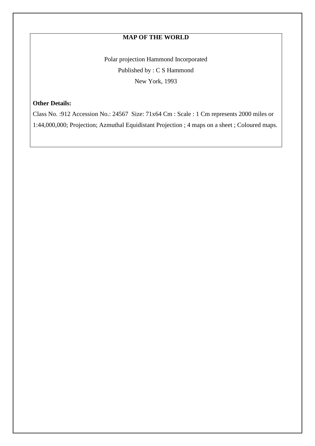### **MAP OF THE WORLD**

Polar projection Hammond Incorporated Published by : C S Hammond New York, 1993

#### **Other Details:**

Class No. :912 Accession No.: 24567 Size: 71x64 Cm : Scale : 1 Cm represents 2000 miles or 1:44,000,000; Projection; Azmuthal Equidistant Projection ; 4 maps on a sheet ; Coloured maps.